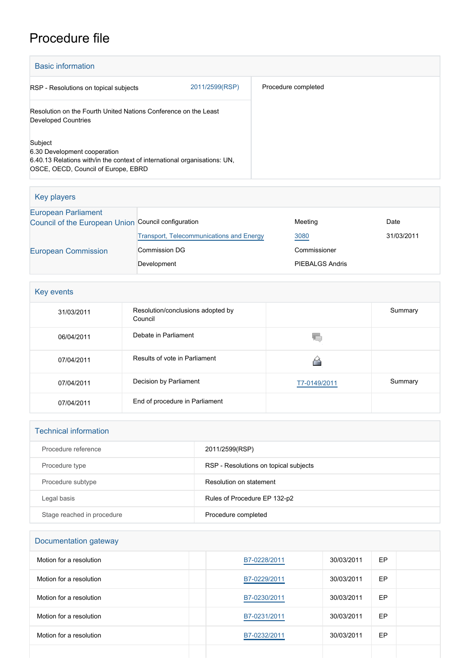# Procedure file

| <b>Basic information</b>                                                                                                                                    |                |                     |  |
|-------------------------------------------------------------------------------------------------------------------------------------------------------------|----------------|---------------------|--|
| RSP - Resolutions on topical subjects                                                                                                                       | 2011/2599(RSP) | Procedure completed |  |
| Resolution on the Fourth United Nations Conference on the Least<br><b>Developed Countries</b>                                                               |                |                     |  |
| Subject<br>6.30 Development cooperation<br>6.40.13 Relations with/in the context of international organisations: UN,<br>OSCE, OECD, Council of Europe, EBRD |                |                     |  |

| Key players                                         |                                                 |                        |            |
|-----------------------------------------------------|-------------------------------------------------|------------------------|------------|
| <b>European Parliament</b>                          |                                                 |                        |            |
| Council of the European Union Council configuration |                                                 | Meeting                | Date       |
|                                                     | <b>Transport, Telecommunications and Energy</b> | 3080                   | 31/03/2011 |
| <b>European Commission</b>                          | Commission DG                                   | Commissioner           |            |
|                                                     | Development                                     | <b>PIEBALGS Andris</b> |            |

| Key events |                                              |              |         |
|------------|----------------------------------------------|--------------|---------|
| 31/03/2011 | Resolution/conclusions adopted by<br>Council |              | Summary |
| 06/04/2011 | Debate in Parliament                         | V.           |         |
| 07/04/2011 | Results of vote in Parliament                |              |         |
| 07/04/2011 | Decision by Parliament                       | T7-0149/2011 | Summary |
| 07/04/2011 | End of procedure in Parliament               |              |         |

| <b>Technical information</b> |                                       |
|------------------------------|---------------------------------------|
| Procedure reference          | 2011/2599(RSP)                        |
| Procedure type               | RSP - Resolutions on topical subjects |
| Procedure subtype            | Resolution on statement               |
| Legal basis                  | Rules of Procedure EP 132-p2          |
| Stage reached in procedure   | Procedure completed                   |

| Documentation gateway   |              |            |    |  |
|-------------------------|--------------|------------|----|--|
| Motion for a resolution | B7-0228/2011 | 30/03/2011 | EP |  |
| Motion for a resolution | B7-0229/2011 | 30/03/2011 | EP |  |
| Motion for a resolution | B7-0230/2011 | 30/03/2011 | EP |  |
| Motion for a resolution | B7-0231/2011 | 30/03/2011 | EP |  |
| Motion for a resolution | B7-0232/2011 | 30/03/2011 | EP |  |
|                         |              |            |    |  |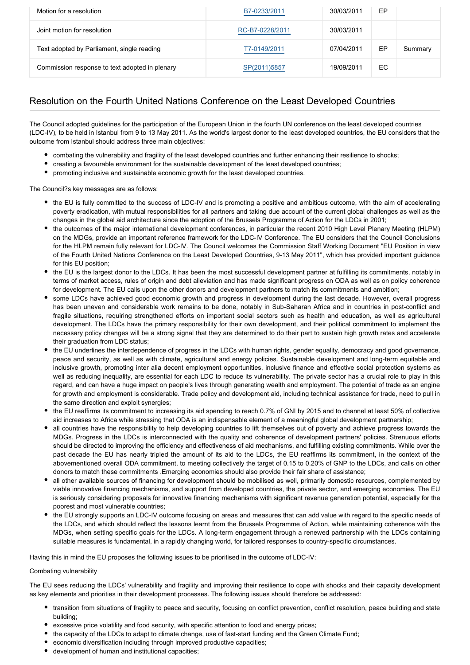| Motion for a resolution                        | B7-0233/2011    | 30/03/2011 | EP |         |
|------------------------------------------------|-----------------|------------|----|---------|
| Joint motion for resolution                    | RC-B7-0228/2011 | 30/03/2011 |    |         |
| Text adopted by Parliament, single reading     | T7-0149/2011    | 07/04/2011 | EP | Summary |
| Commission response to text adopted in plenary | SP(2011)5857    | 19/09/2011 | EC |         |

## Resolution on the Fourth United Nations Conference on the Least Developed Countries

The Council adopted guidelines for the participation of the European Union in the fourth UN conference on the least developed countries (LDC-IV), to be held in Istanbul from 9 to 13 May 2011. As the world's largest donor to the least developed countries, the EU considers that the outcome from Istanbul should address three main objectives:

- combating the vulnerability and fragility of the least developed countries and further enhancing their resilience to shocks;
- creating a favourable environment for the sustainable development of the least developed countries;
- promoting inclusive and sustainable economic growth for the least developed countries.

The Council?s key messages are as follows:

- the EU is fully committed to the success of LDC-IV and is promoting a positive and ambitious outcome, with the aim of accelerating poverty eradication, with mutual responsibilities for all partners and taking due account of the current global challenges as well as the changes in the global aid architecture since the adoption of the Brussels Programme of Action for the LDCs in 2001;
- the outcomes of the major international development conferences, in particular the recent 2010 High Level Plenary Meeting (HLPM) on the MDGs, provide an important reference framework for the LDC-IV Conference. The EU considers that the Council Conclusions for the HLPM remain fully relevant for LDC-IV. The Council welcomes the Commission Staff Working Document "EU Position in view of the Fourth United Nations Conference on the Least Developed Countries, 9-13 May 2011", which has provided important guidance for this EU position;
- the EU is the largest donor to the LDCs. It has been the most successful development partner at fulfilling its commitments, notably in terms of market access, rules of origin and debt alleviation and has made significant progress on ODA as well as on policy coherence for development. The EU calls upon the other donors and development partners to match its commitments and ambition;
- some LDCs have achieved good economic growth and progress in development during the last decade. However, overall progress has been uneven and considerable work remains to be done, notably in Sub-Saharan Africa and in countries in post-conflict and fragile situations, requiring strengthened efforts on important social sectors such as health and education, as well as agricultural development. The LDCs have the primary responsibility for their own development, and their political commitment to implement the necessary policy changes will be a strong signal that they are determined to do their part to sustain high growth rates and accelerate their graduation from LDC status;
- the EU underlines the interdependence of progress in the LDCs with human rights, gender equality, democracy and good governance, peace and security, as well as with climate, agricultural and energy policies. Sustainable development and long-term equitable and inclusive growth, promoting inter alia decent employment opportunities, inclusive finance and effective social protection systems as well as reducing inequality, are essential for each LDC to reduce its vulnerability. The private sector has a crucial role to play in this regard, and can have a huge impact on people's lives through generating wealth and employment. The potential of trade as an engine for growth and employment is considerable. Trade policy and development aid, including technical assistance for trade, need to pull in the same direction and exploit synergies;
- the EU reaffirms its commitment to increasing its aid spending to reach 0.7% of GNI by 2015 and to channel at least 50% of collective aid increases to Africa while stressing that ODA is an indispensable element of a meaningful global development partnership;
- all countries have the responsibility to help developing countries to lift themselves out of poverty and achieve progress towards the MDGs. Progress in the LDCs is interconnected with the quality and coherence of development partners' policies. Strenuous efforts should be directed to improving the efficiency and effectiveness of aid mechanisms, and fulfilling existing commitments. While over the past decade the EU has nearly tripled the amount of its aid to the LDCs, the EU reaffirms its commitment, in the context of the abovementioned overall ODA commitment, to meeting collectively the target of 0.15 to 0.20% of GNP to the LDCs, and calls on other donors to match these commitments .Emerging economies should also provide their fair share of assistance;
- all other available sources of financing for development should be mobilised as well, primarily domestic resources, complemented by viable innovative financing mechanisms, and support from developed countries, the private sector, and emerging economies. The EU is seriously considering proposals for innovative financing mechanisms with significant revenue generation potential, especially for the poorest and most vulnerable countries;
- the EU strongly supports an LDC-IV outcome focusing on areas and measures that can add value with regard to the specific needs of the LDCs, and which should reflect the lessons learnt from the Brussels Programme of Action, while maintaining coherence with the MDGs, when setting specific goals for the LDCs. A long-term engagement through a renewed partnership with the LDCs containing suitable measures is fundamental, in a rapidly changing world, for tailored responses to country-specific circumstances.

Having this in mind the EU proposes the following issues to be prioritised in the outcome of LDC-IV:

#### Combating vulnerability

The EU sees reducing the LDCs' vulnerability and fragility and improving their resilience to cope with shocks and their capacity development as key elements and priorities in their development processes. The following issues should therefore be addressed:

- transition from situations of fragility to peace and security, focusing on conflict prevention, conflict resolution, peace building and state building;
- excessive price volatility and food security, with specific attention to food and energy prices;
- the capacity of the LDCs to adapt to climate change, use of fast-start funding and the Green Climate Fund;
- economic diversification including through improved productive capacities;
- development of human and institutional capacities;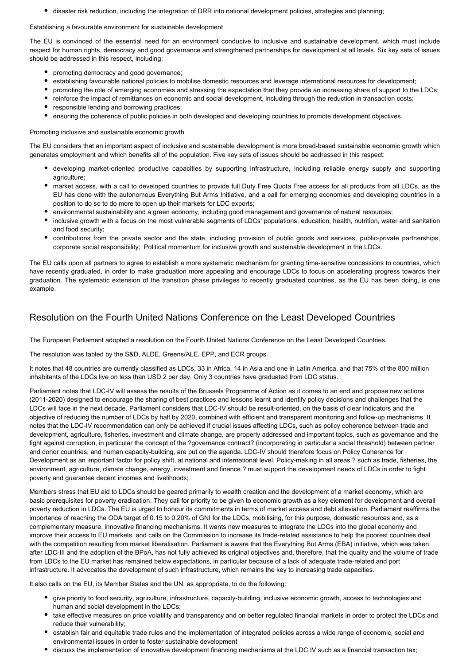disaster risk reduction, including the integration of DRR into national development policies, strategies and planning;

#### Establishing a favourable environment for sustainable development

The EU is convinced of the essential need for an environment conducive to inclusive and sustainable development, which must include respect for human rights, democracy and good governance and strengthened partnerships for development at all levels. Six key sets of issues should be addressed in this respect, including:

- promoting democracy and good governance;
- establishing favourable national policies to mobilise domestic resources and leverage international resources for development;
- promoting the role of emerging economies and stressing the expectation that they provide an increasing share of support to the LDCs;
- reinforce the impact of remittances on economic and social development, including through the reduction in transaction costs;
- responsible lending and borrowing practices;
- ensuring the coherence of public policies in both developed and developing countries to promote development objectives.

#### Promoting inclusive and sustainable economic growth

The EU considers that an important aspect of inclusive and sustainable development is more broad-based sustainable economic growth which generates employment and which benefits all of the population. Five key sets of issues should be addressed in this respect:

- developing market-oriented productive capacities by supporting infrastructure, including reliable energy supply and supporting agriculture;
- market access, with a call to developed countries to provide full Duty Free Quota Free access for all products from all LDCs, as the EU has done with the autonomous Everything But Arms Initiative, and a call for emerging economies and developing countries in a position to do so to do more to open up their markets for LDC exports;
- environmental sustainability and a green economy, including good management and governance of natural resources;
- inclusive growth with a focus on the most vulnerable segments of LDCs' populations, education, health, nutrition, water and sanitation and food security;
- contributions from the private sector and the state, including provision of public goods and services, public-private partnerships, corporate social responsibility; Political momentum for inclusive growth and sustainable development in the LDCs.

The EU calls upon all partners to agree to establish a more systematic mechanism for granting time-sensitive concessions to countries, which have recently graduated, in order to make graduation more appealing and encourage LDCs to focus on accelerating progress towards their graduation. The systematic extension of the transition phase privileges to recently graduated countries, as the EU has been doing, is one example.

### Resolution on the Fourth United Nations Conference on the Least Developed Countries

The European Parliament adopted a resolution on the Fourth United Nations Conference on the Least Developed Countries.

The resolution was tabled by the S&D, ALDE, Greens/ALE, EPP, and ECR groups.

It notes that 48 countries are currently classified as LDCs, 33 in Africa, 14 in Asia and one in Latin America, and that 75% of the 800 million inhabitants of the LDCs live on less than USD 2 per day. Only 3 countries have graduated from LDC status.

Parliament notes that LDC-IV will assess the results of the Brussels Programme of Action as it comes to an end and propose new actions (2011-2020) designed to encourage the sharing of best practices and lessons learnt and identify policy decisions and challenges that the LDCs will face in the next decade. Parliament considers that LDC-IV should be result-oriented, on the basis of clear indicators and the objective of reducing the number of LDCs by half by 2020, combined with efficient and transparent monitoring and follow-up mechanisms. It notes that the LDC-IV recommendation can only be achieved if crucial issues affecting LDCs, such as policy coherence between trade and development, agriculture, fisheries, investment and climate change, are properly addressed and important topics, such as governance and the fight against corruption, in particular the concept of the ?governance contract? (incorporating in particular a social threshold) between partner and donor countries, and human capacity-building, are put on the agenda. LDC-IV should therefore focus on Policy Coherence for Development as an important factor for policy shift, at national and international level. Policy-making in all areas ? such as trade, fisheries, the environment, agriculture, climate change, energy, investment and finance ? must support the development needs of LDCs in order to fight poverty and guarantee decent incomes and livelihoods;

Members stress that EU aid to LDCs should be geared primarily to wealth creation and the development of a market economy, which are basic prerequisites for poverty eradication. They call for priority to be given to economic growth as a key element for development and overall poverty reduction in LDCs. The EU is urged to honour its commitments in terms of market access and debt alleviation. Parliament reaffirms the importance of reaching the ODA target of 0.15 to 0.20% of GNI for the LDCs, mobilising, for this purpose, domestic resources and, as a complementary measure, innovative financing mechanisms. It wants new measures to integrate the LDCs into the global economy and improve their access to EU markets, and calls on the Commission to increase its trade-related assistance to help the poorest countries deal with the competition resulting from market liberalisation. Parliament is aware that the Everything But Arms (EBA) initiative, which was taken after LDC-III and the adoption of the BPoA, has not fully achieved its original objectives and, therefore, that the quality and the volume of trade from LDCs to the EU market has remained below expectations, in particular because of a lack of adequate trade-related and port infrastructure. It advocates the development of such infrastructure, which remains the key to increasing trade capacities.

It also calls on the EU, its Member States and the UN, as appropriate, to do the following:

- give priority to food security, agriculture, infrastructure, capacity-building, inclusive economic growth, access to technologies and human and social development in the LDCs;
- take effective measures on price volatility and transparency and on better regulated financial markets in order to protect the LDCs and reduce their vulnerability;
- establish fair and equitable trade rules and the implementation of integrated policies across a wide range of economic, social and environmental issues in order to foster sustainable development
- discuss the implementation of innovative development financing mechanisms at the LDC IV such as a financial transaction tax;